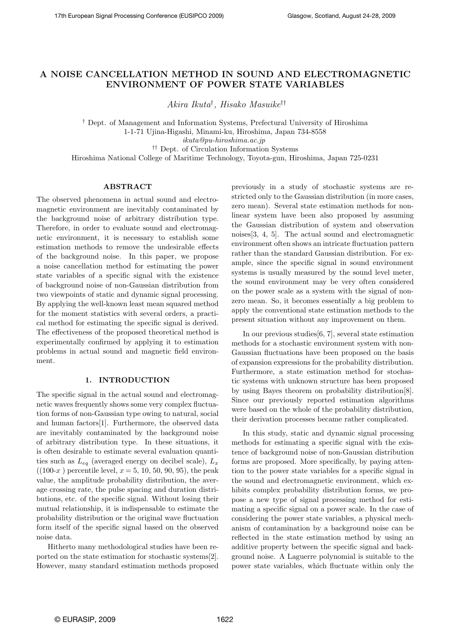# A NOISE CANCELLATION METHOD IN SOUND AND ELECTROMAGNETIC ENVIRONMENT OF POWER STATE VARIABLES

Akira Ikuta† , Hisako Masuike††

† Dept. of Management and Information Systems, Prefectural University of Hiroshima 1-1-71 Ujina-Higashi, Minami-ku, Hiroshima, Japan 734-8558 ikuta@pu-hiroshima.ac.jp †† Dept. of Circulation Information Systems

Hiroshima National College of Maritime Technology, Toyota-gun, Hiroshima, Japan 725-0231

## ABSTRACT

The observed phenomena in actual sound and electromagnetic environment are inevitably contaminated by the background noise of arbitrary distribution type. Therefore, in order to evaluate sound and electromagnetic environment, it is necessary to establish some estimation methods to remove the undesirable effects of the background noise. In this paper, we propose a noise cancellation method for estimating the power state variables of a specific signal with the existence of background noise of non-Gaussian distribution from two viewpoints of static and dynamic signal processing. By applying the well-known least mean squared method for the moment statistics with several orders, a practical method for estimating the specific signal is derived. The effectiveness of the proposed theoretical method is experimentally confirmed by applying it to estimation problems in actual sound and magnetic field environment.

## 1. INTRODUCTION

The specific signal in the actual sound and electromagnetic waves frequently shows some very complex fluctuation forms of non-Gaussian type owing to natural, social and human factors[1]. Furthermore, the observed data are inevitably contaminated by the background noise of arbitrary distribution type. In these situations, it is often desirable to estimate several evaluation quantities such as  $L_{eq}$  (averaged energy on decibel scale),  $L_x$  $((100-x))$  percentile level,  $x = 5, 10, 50, 90, 95)$ , the peak value, the amplitude probability distribution, the average crossing rate, the pulse spacing and duration distributions, etc. of the specific signal. Without losing their mutual relationship, it is indispensable to estimate the probability distribution or the original wave fluctuation form itself of the specific signal based on the observed noise data.

Hitherto many methodological studies have been reported on the state estimation for stochastic systems[2]. However, many standard estimation methods proposed previously in a study of stochastic systems are restricted only to the Gaussian distribution (in more cases, zero mean). Several state estimation methods for nonlinear system have been also proposed by assuming the Gaussian distribution of system and observation noises[3, 4, 5]. The actual sound and electromagnetic environment often shows an intricate fluctuation pattern rather than the standard Gaussian distribution. For example, since the specific signal in sound environment systems is usually measured by the sound level meter, the sound environment may be very often considered on the power scale as a system with the signal of nonzero mean. So, it becomes essentially a big problem to apply the conventional state estimation methods to the present situation without any improvement on them.

In our previous studies[6, 7], several state estimation methods for a stochastic environment system with non-Gaussian fluctuations have been proposed on the basis of expansion expressions for the probability distribution. Furthermore, a state estimation method for stochastic systems with unknown structure has been proposed by using Bayes theorem on probability distribution[8]. Since our previously reported estimation algorithms were based on the whole of the probability distribution, their derivation processes became rather complicated.

In this study, static and dynamic signal processing methods for estimating a specific signal with the existence of background noise of non-Gaussian distribution forms are proposed. More specifically, by paying attention to the power state variables for a specific signal in the sound and electromagnetic environment, which exhibits complex probability distribution forms, we propose a new type of signal processing method for estimating a specific signal on a power scale. In the case of considering the power state variables, a physical mechanism of contamination by a background noise can be reflected in the state estimation method by using an additive property between the specific signal and background noise. A Laguerre polynomial is suitable to the power state variables, which fluctuate within only the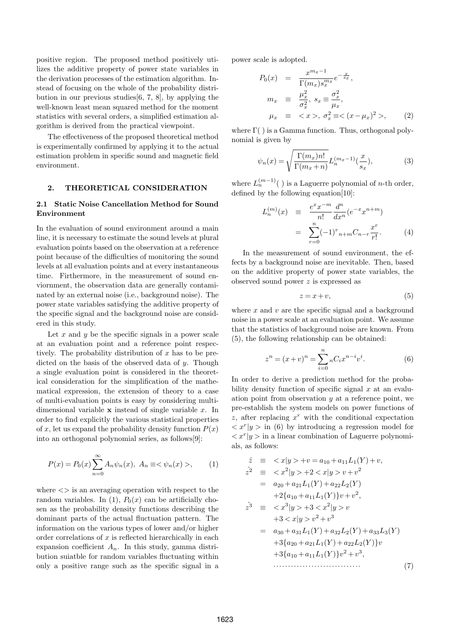positive region. The proposed method positively utilizes the additive property of power state variables in the derivation processes of the estimation algorithm. Instead of focusing on the whole of the probability distribution in our previous studies[6, 7, 8], by applying the well-known least mean squared method for the moment statistics with several orders, a simplified estimation algorithm is derived from the practical viewpoint.

The effectiveness of the proposed theoretical method is experimentally confirmed by applying it to the actual estimation problem in specific sound and magnetic field environment.

## 2. THEORETICAL CONSIDERATION

## 2.1 Static Noise Cancellation Method for Sound Environment

In the evaluation of sound environment around a main line, it is necessary to estimate the sound levels at plural evaluation points based on the observation at a reference point because of the difficulties of monitoring the sound levels at all evaluation points and at every instantaneous time. Firthermore, in the measurement of sound enviornment, the observation data are generally contaminated by an external noise (i.e., background noise). The power state variables satisfying the additive property of the specific signal and the background noise are considered in this study.

Let  $x$  and  $y$  be the specific signals in a power scale at an evaluation point and a reference point respectively. The probability distribution of  $x$  has to be predicted on the basis of the observed data of y. Though a single evaluation point is considered in the theoretical consideration for the simplification of the mathematical expression, the extension of theory to a case of multi-evaluation points is easy by considering multidimensional variable  $x$  instead of single variable  $x$ . In order to find explicitly the various statistical properties of x, let us expand the probability density function  $P(x)$ into an orthogonal polynomial series, as follows[9]:

$$
P(x) = P_0(x) \sum_{n=0}^{\infty} A_n \psi_n(x), \ A_n \equiv \langle \psi_n(x) \rangle, \tag{1}
$$

where  $\langle \rangle$  is an averaging operation with respect to the random variables. In (1),  $P_0(x)$  can be artificially chosen as the probability density functions describing the dominant parts of the actual fluctuation pattern. The information on the various types of lower and/or higher order correlations of  $x$  is reflected hierarchically in each expansion coefficient  $A_n$ . In this study, gamma distribution suiatble for random variables fluctuating within only a positive range such as the specific signal in a power scale is adopted.

$$
P_0(x) = \frac{x^{m_x - 1}}{\Gamma(m_x)s_x^{m_x}} e^{-\frac{x}{s_x}},
$$
  
\n
$$
m_x \equiv \frac{\mu_x^2}{\sigma_x^2}, s_x \equiv \frac{\sigma_x^2}{\mu_x},
$$
  
\n
$$
\mu_x \equiv \langle x \rangle, \sigma_x^2 \equiv \langle (x - \mu_x)^2 \rangle,
$$
 (2)

where  $\Gamma$ () is a Gamma function. Thus, orthogonal polynomial is given by

$$
\psi_n(x) = \sqrt{\frac{\Gamma(m_x)n!}{\Gamma(m_x+n)}} L_n^{(m_x-1)}(\frac{x}{s_x}),\tag{3}
$$

where  $L_n^{(m-1)}($  ) is a Laguerre polynomial of *n*-th order, defined by the following equation[10]:

$$
L_n^{(m)}(x) \equiv \frac{e^x x^{-m}}{n!} \frac{d^n}{dx^n} (e^{-x} x^{n+m})
$$
  
= 
$$
\sum_{r=0}^n (-1)^r n + m C_{n-r} \frac{x^r}{r!}.
$$
 (4)

In the measurement of sound environment, the effects by a background noise are inevitable. Then, based on the additive property of power state variables, the observed sound power z is expressed as

$$
z = x + v,\tag{5}
$$

where  $x$  and  $v$  are the specific signal and a background noise in a power scale at an evaluation point. We assume that the statistics of background noise are known. From (5), the following relationship can be obtained:

$$
z^{n} = (x+v)^{n} = \sum_{i=0}^{n} {}_{n}C_{i}x^{n-i}v^{i}.
$$
 (6)

In order to derive a prediction method for the probability density function of specific signal  $x$  at an evaluation point from observation  $y$  at a reference point, we pre-establish the system models on power functions of z, after replacing  $x^r$  with the conditional expectation  $\langle x^r | y \rangle$  in (6) by introducing a regression model for  $\langle x^r | y \rangle$  in a linear combination of Laguerre polynomials, as follows:

$$
\hat{z} = \langle x|y \rangle + v = a_{10} + a_{11}L_1(Y) + v,
$$
  
\n
$$
\hat{z}^2 = \langle x^2|y \rangle + 2 \langle x|y \rangle + v^2
$$
  
\n
$$
= a_{20} + a_{21}L_1(Y) + a_{22}L_2(Y)
$$
  
\n
$$
+ 2\{a_{10} + a_{11}L_1(Y)\}v + v^2,
$$
  
\n
$$
\hat{z}^3 = \langle x^3|y \rangle + 3 \langle x^2|y \rangle v
$$
  
\n
$$
+ 3 \langle x|y \rangle v^2 + v^3
$$
  
\n
$$
= a_{30} + a_{31}L_1(Y) + a_{32}L_2(Y) + a_{33}L_3(Y)
$$
  
\n
$$
+ 3\{a_{20} + a_{21}L_1(Y) + a_{22}L_2(Y)\}v
$$
  
\n
$$
+ 3\{a_{10} + a_{11}L_1(Y)\}v^2 + v^3,
$$
\n(7)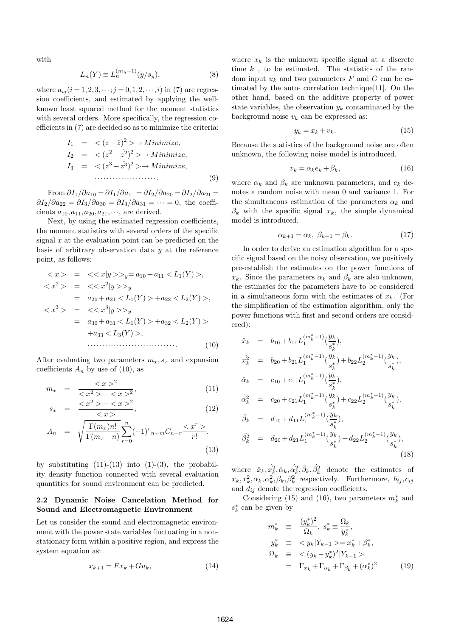with

$$
L_n(Y) \equiv L_n^{(m_y - 1)}(y/s_y),\tag{8}
$$

where  $a_{ij}$  ( $i = 1, 2, 3, \dots; j = 0, 1, 2, \dots, i$ ) in (7) are regression coefficients, and estimated by applying the wellknown least squared method for the moment statistics with several orders. More specifically, the regression coefficients in (7) are decided so as to minimize the criteria:

I<sup>1</sup> = < (z −zˆ) <sup>2</sup> >→ M inimize, I<sup>2</sup> = < (z <sup>2</sup> − ˆz 2) <sup>2</sup> >→ M inimize, I<sup>3</sup> = < (z <sup>3</sup> − ˆz 3) <sup>2</sup> >→ M inimize, ·····················. (9)

From  $\partial I_1/\partial a_{10} = \partial I_1/\partial a_{11} = \partial I_2/\partial a_{20} = \partial I_2/\partial a_{21} =$  $\partial I_2/\partial a_{22} = \partial I_3/\partial a_{30} = \partial I_3/\partial a_{31} = \cdots = 0$ , the coefficients  $a_{10}, a_{11}, a_{20}, a_{21}, \dots$ , are derived.

Next, by using the estimated regression coefficients, the moment statistics with several orders of the specific signal  $x$  at the evaluation point can be predicted on the basis of arbitrary observation data  $y$  at the reference point, as follows:

$$
\langle x \rangle = \langle \langle x | y \rangle \rangle_y = a_{10} + a_{11} \langle L_1(Y) \rangle,
$$
  
\n
$$
\langle x^2 \rangle = \langle \langle x^2 | y \rangle \rangle_y
$$
  
\n
$$
= a_{20} + a_{21} \langle L_1(Y) \rangle + a_{22} \langle L_2(Y) \rangle,
$$
  
\n
$$
\langle x^3 \rangle = \langle \langle x^3 | y \rangle \rangle_y
$$
  
\n
$$
= a_{30} + a_{31} \langle L_1(Y) \rangle + a_{32} \langle L_2(Y) \rangle
$$
  
\n
$$
+ a_{33} \langle L_3(Y) \rangle,
$$
  
\n
$$
\dots
$$
  
\n(10)

After evaluating two parameters  $m_x, s_x$  and expansion coefficients  $A_n$  by use of (10), as

$$
m_x = \frac{^2}{ - ^2},\tag{11}
$$

$$
s_x = \frac{\langle x^2 \rangle - \langle x \rangle^2}{\langle x \rangle}, \tag{12}
$$

$$
A_n = \sqrt{\frac{\Gamma(m_x)n!}{\Gamma(m_x+n)}} \sum_{r=0}^n (-1)^r n+r} C_{n-r} \frac{2r}{r!}.
$$
\n(13)

by substituting  $(11)-(13)$  into  $(1)-(3)$ , the probability density function connected with several evaluation quantities for sound environment can be predicted.

### 2.2 Dynamic Noise Cancelation Method for Sound and Electromagnetic Environment

Let us consider the sound and electromagnetic environment with the power state variables fluctuating in a nonstationary form within a positive region, and express the system equation as:

$$
x_{k+1} = Fx_k + Gu_k, \tag{14}
$$

where  $x_k$  is the unknown specific signal at a discrete time  $k$ , to be estimated. The statistics of the random input  $u_k$  and two parameters F and G can be estimated by the auto- correlation technique[11]. On the other hand, based on the additive property of power state variables, the observation  $y_k$  contaminated by the background noise  $v_k$  can be expressed as:

$$
y_k = x_k + v_k. \tag{15}
$$

Because the statistics of the background noise are often unknown, the following noise model is introduced.

$$
v_k = \alpha_k e_k + \beta_k,\tag{16}
$$

where  $\alpha_k$  and  $\beta_k$  are unknown parameters, and  $e_k$  denotes a random noise with mean 0 and variance 1. For the simultaneous estimation of the parameters  $\alpha_k$  and  $\beta_k$  with the specific signal  $x_k$ , the simple dynamical model is introduced.

$$
\alpha_{k+1} = \alpha_k, \ \beta_{k+1} = \beta_k. \tag{17}
$$

In order to derive an estimation algorithm for a specific signal based on the noisy observation, we positively pre-establish the estimates on the power functions of  $x_k$ . Since the parameters  $\alpha_k$  and  $\beta_k$  are also unknown, the estimates for the parameters have to be considered in a simultaneous form with the estimates of  $x_k$ . (For the simplification of the estimation algorithm, only the power functions with first and second orders are considered):

$$
\hat{x}_k = b_{10} + b_{11} L_1^{(m_k^* - 1)}(\frac{y_k}{s_k^*}),
$$
\n
$$
\hat{x}_k^2 = b_{20} + b_{21} L_1^{(m_k^* - 1)}(\frac{y_k}{s_k^*}) + b_{22} L_2^{(m_k^* - 1)}(\frac{y_k}{s_k^*}),
$$
\n
$$
\hat{\alpha}_k = c_{10} + c_{11} L_1^{(m_k^* - 1)}(\frac{y_k}{s_k^*}),
$$
\n
$$
\hat{\alpha}_k^2 = c_{20} + c_{21} L_1^{(m_k^* - 1)}(\frac{y_k}{s_k^*}) + c_{22} L_2^{(m_k^* - 1)}(\frac{y_k}{s_k^*}),
$$
\n
$$
\hat{\beta}_k = d_{10} + d_{11} L_1^{(m_k^* - 1)}(\frac{y_k}{s_k^*}),
$$
\n
$$
\hat{\beta}_k^2 = d_{20} + d_{21} L_1^{(m_k^* - 1)}(\frac{y_k}{s_k^*}) + d_{22} L_2^{(m_k^* - 1)}(\frac{y_k}{s_k^*}),
$$
\n
$$
\hat{\beta}_k^2 = d_{20} + d_{21} L_1^{(m_k^* - 1)}(\frac{y_k}{s_k^*}) + d_{22} L_2^{(m_k^* - 1)}(\frac{y_k}{s_k^*}),
$$
\n(18)

where  $\hat{x}_k, \hat{x_k^2}, \hat{\alpha}_k, \hat{\alpha}_k^2, \hat{\beta}_k, \hat{\beta}_k^2$  denote the estimates of  $x_k, x_k^2, \alpha_k, \alpha_k^2, \beta_k, \beta_k^2$  respectively. Furthermore,  $b_{ij}, c_{ij}$ and  $d_{ij}$  denote the regression coefficients.

Considering (15) and (16), two parameters  $m_k^*$  and  $s_k^*$  can be given by

$$
m_k^* \equiv \frac{(y_k^*)^2}{\Omega_k}, s_k^* \equiv \frac{\Omega_k}{y_k^*},
$$
  
\n
$$
y_k^* \equiv \langle y_k | Y_{k-1} \rangle = x_k^* + \beta_k^*,
$$
  
\n
$$
\Omega_k \equiv \langle (y_k - y_k^*)^2 | Y_{k-1} \rangle
$$
  
\n
$$
= \Gamma_{x_k} + \Gamma_{\alpha_k} + \Gamma_{\beta_k} + (\alpha_k^*)^2 \qquad (19)
$$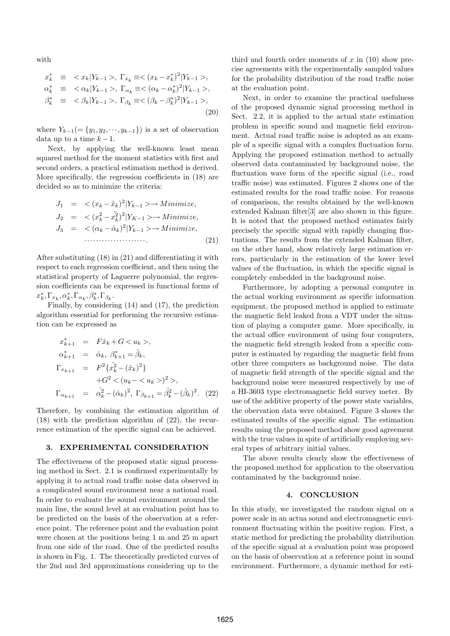with

$$
x_k^* \equiv \langle x_k | Y_{k-1} \rangle, \Gamma_{x_k} \equiv \langle (x_k - x_k^*)^2 | Y_{k-1} \rangle, \n\alpha_k^* \equiv \langle \alpha_k | Y_{k-1} \rangle, \Gamma_{\alpha_k} \equiv \langle (\alpha_k - \alpha_k^*)^2 | Y_{k-1} \rangle, \n\beta_k^* \equiv \langle \beta_k | Y_{k-1} \rangle, \Gamma_{\beta_k} \equiv \langle (\beta_k - \beta_k^*)^2 | Y_{k-1} \rangle, \n(20)
$$

where  $Y_{k-1} = \{y_1, y_2, \dots, y_{k-1}\}\$  is a set of observation data up to a time  $k-1$ .

Next, by applying the well-known least mean squared method for the moment statistics with first and second orders, a practical estimation method is derived. More specifically, the regression coefficients in (18) are decided so as to minimize the criteria:

J<sup>1</sup> = < (x<sup>k</sup> −xˆk) 2 |Yk−<sup>1</sup> >→ M inimize, J<sup>2</sup> = < (x 2 <sup>k</sup> <sup>−</sup> <sup>ˆ</sup><sup>x</sup> 2 k ) 2 |YK−<sup>1</sup> >→ M inimize, J<sup>3</sup> = < (α<sup>k</sup> −αˆk) 2 |Yk−<sup>1</sup> >→ M inimize, ·····················. (21)

After substituting (18) in (21) and differentiating it with respect to each regression coefficient, and then using the statistical property of Laguerre polynomial, the regression coefficients can be expressed in functional forms of  $x_k^*, \Gamma_{x_k}, \alpha_k^*, \Gamma_{\alpha_k}, \beta_k^*, \Gamma_{\beta_k}.$ 

Finally, by considering (14) and (17), the prediction algorithm essential for performing the recursive estimation can be expressed as

$$
x_{k+1}^{*} = F\hat{x}_{k} + G < u_{k} >,\n\alpha_{k+1}^{*} = \hat{\alpha}_{k}, \ \beta_{k+1}^{*} = \hat{\beta}_{k},\n\Gamma_{x_{k+1}} = F^{2}\{\hat{x}_{k}^{2} - (\hat{x}_{k})^{2}\}\n+G^{2} < (u_{k} - < u_{k} >)^{2} >,\n\Gamma_{\alpha_{k+1}} = \hat{\alpha}_{k}^{2} - (\hat{\alpha}_{k})^{2}, \ \Gamma_{\beta_{k+1}} = \hat{\beta}_{k}^{2} - (\hat{\beta}_{k})^{2}. \tag{22}
$$

Therefore, by combining the estimation algorithm of (18) with the prediction algorithm of (22), the recurrence estimation of the specific signal can be achieved.

## 3. EXPERIMENTAL CONSIDERATION

The effectiveness of the proposed static signal processing method in Sect. 2.1 is confirmed experimentally by applying it to actual road traffic noise data observed in a complicated sound environment near a national road. In order to evaluate the sound environment around the main line, the sound level at an evaluation point has to be predicted on the basis of the observation at a reference point. The reference point and the evaluation point were chosen at the positions being 1 m and 25 m apart from one side of the road. One of the predicted results is shown in Fig. 1. The theoretically predicted curves of the 2nd and 3rd approximations considering up to the

third and fourth order moments of  $x$  in (10) show precise agreements with the experimentally sampled values for the probability distribution of the road traffic noise at the evaluation point.

Next, in order to examine the practical usefulness of the proposed dynamic signal processing method in Sect. 2.2, it is applied to the actual state estimation problem in specific sound and magnetic field environment. Actual road traffic noise is adopted as an example of a specific signal with a complex fluctuation form. Applying the proposed estimation method to actually observed data contaminated by background noise, the fluctuation wave form of the specific signal (i.e., road traffic noise) was estimated. Figures 2 shows one of the estimated results for the road traffic noise. For reasons of comparison, the results obtained by the well-known extended Kalman filter[3] are also shown in this figure. It is noted that the proposed method estimates fairly precisely the specific signal with rapidly changing fluctuations. The results from the extended Kalman filter, on the other hand, show relatively large estimation errors, particularly in the estimation of the lower level values of the fluctuation, in which the specific signal is completely embedded in the background noise.

Furthermore, by adopting a personal computer in the actual working environment as specific information equipment, the proposed method is applied to estimate the magnetic field leaked from a VDT under the situation of playing a computer game. More specifically, in the actual office environment of using four computers, the magnetic field strength leaked from a specific computer is estimated by regarding the magnetic field from other three computers as background noise. The data of magnetic field strength of the specific signal and the background noise were measured respectively by use of a HI-3603 type electromagnetic field survey meter. By use of the additive property of the power state variables, the obervation data were obtained. Figure 3 shows the estimated results of the specific signal. The estimation results using the proposed method show good agreement with the true values in spite of artificially employing several types of arbitrary initial values.

The above results clearly show the effectiveness of the proposed method for application to the observation contaminated by the background noise.

#### 4. CONCLUSION

In this study, we investigated the random signal on a power scale in an actua sound and electromagnetic environment fluctuating within the positive region. First, a static method for predicting the probability distribution of the specific signal at a evaluation point was proposed on the basis of observation at a reference point in sound environment. Furthermore, a dynamic method for esti-